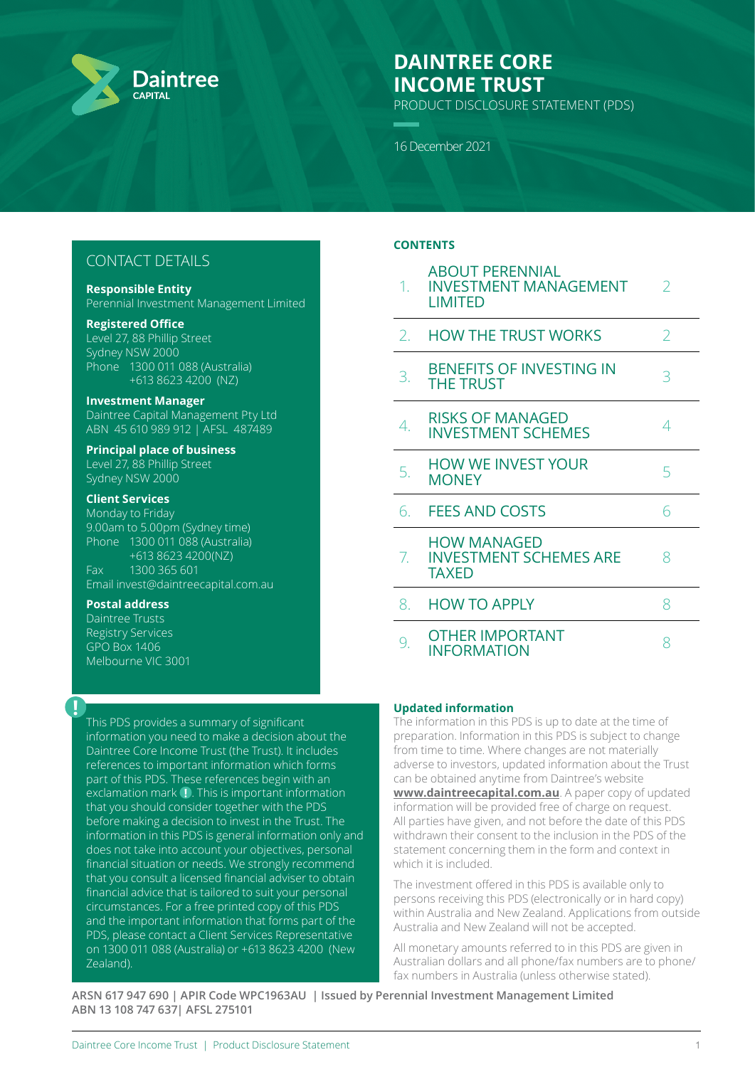

# **DAINTREE CORE INCOME TRUST**

PRODUCT DISCLOSURE STATEMENT (PDS)

16 December 2021

# CONTACT DETAILS

#### **Responsible Entity**

Perennial Investment Management Limited

### **Registered Office**

Level 27, 88 Phillip Street Sydney NSW 2000 Phone 1300 011 088 (Australia) +613 8623 4200 (NZ)

#### **Investment Manager**

Daintree Capital Management Pty Ltd ABN 45 610 989 912 | AFSL 487489

#### **Principal place of business** Level 27, 88 Phillip Street

Sydney NSW 2000

## **Client Services**

Monday to Friday 9.00am to 5.00pm (Sydney time) Phone 1300 011 088 (Australia) +613 8623 4200(NZ) Fax 1300 365 601 Email invest@daintreecapital.com.au

## **Postal address**

**!**

Daintree Trusts Registry Services GPO Box 1406 Melbourne VIC 3001

This PDS provides a summary of significant information you need to make a decision about the Daintree Core Income Trust (the Trust). It includes references to important information which forms part of this PDS. These references begin with an exclamation mark  $\blacksquare$ . This is important information that you should consider together with the PDS before making a decision to invest in the Trust. The information in this PDS is general information only and does not take into account your objectives, personal financial situation or needs. We strongly recommend that you consult a licensed financial adviser to obtain financial advice that is tailored to suit your personal circumstances. For a free printed copy of this PDS and the important information that forms part of the PDS, please contact a Client Services Representative on 1300 011 088 (Australia) or +613 8623 4200 (New Zealand).

## **CONTENTS**

| 1. | <b>ABOUT PERENNIAL</b><br><b>INVESTMENT MANAGEMENT</b><br><b>LIMITED</b> | $\overline{2}$ |
|----|--------------------------------------------------------------------------|----------------|
| 2. | <b>HOW THE TRUST WORKS</b>                                               | 2              |
| 3. | <b>BENEFITS OF INVESTING IN</b><br><b>THE TRUST</b>                      | 3              |
| 4. | <b>RISKS OF MANAGED</b><br><b>INVESTMENT SCHEMES</b>                     | 4              |
| 5. | <b>HOW WE INVEST YOUR</b><br><b>MONEY</b>                                | 5              |
| 6. | <b>FEES AND COSTS</b>                                                    | 6              |
| 7. | <b>HOW MANAGED</b><br><b>INVESTMENT SCHEMES ARE</b><br><b>TAXED</b>      | 8              |
| 8. | <b>HOW TO APPLY</b>                                                      | 8              |
| 9. | <b>OTHER IMPORTANT</b><br><b>INFORMATION</b>                             | 8              |

## **Updated information**

The information in this PDS is up to date at the time of preparation. Information in this PDS is subject to change from time to time. Where changes are not materially adverse to investors, updated information about the Trust can be obtained anytime from Daintree's website **[www.daintreecapital.com.au](http://www.daintreecapital.com.au)**. A paper copy of updated information will be provided free of charge on request. All parties have given, and not before the date of this PDS withdrawn their consent to the inclusion in the PDS of the statement concerning them in the form and context in which it is included.

The investment offered in this PDS is available only to persons receiving this PDS (electronically or in hard copy) within Australia and New Zealand. Applications from outside Australia and New Zealand will not be accepted.

All monetary amounts referred to in this PDS are given in Australian dollars and all phone/fax numbers are to phone/ fax numbers in Australia (unless otherwise stated).

**ARSN 617 947 690 | APIR Code WPC1963AU | Issued by Perennial Investment Management Limited ABN 13 108 747 637| AFSL 275101**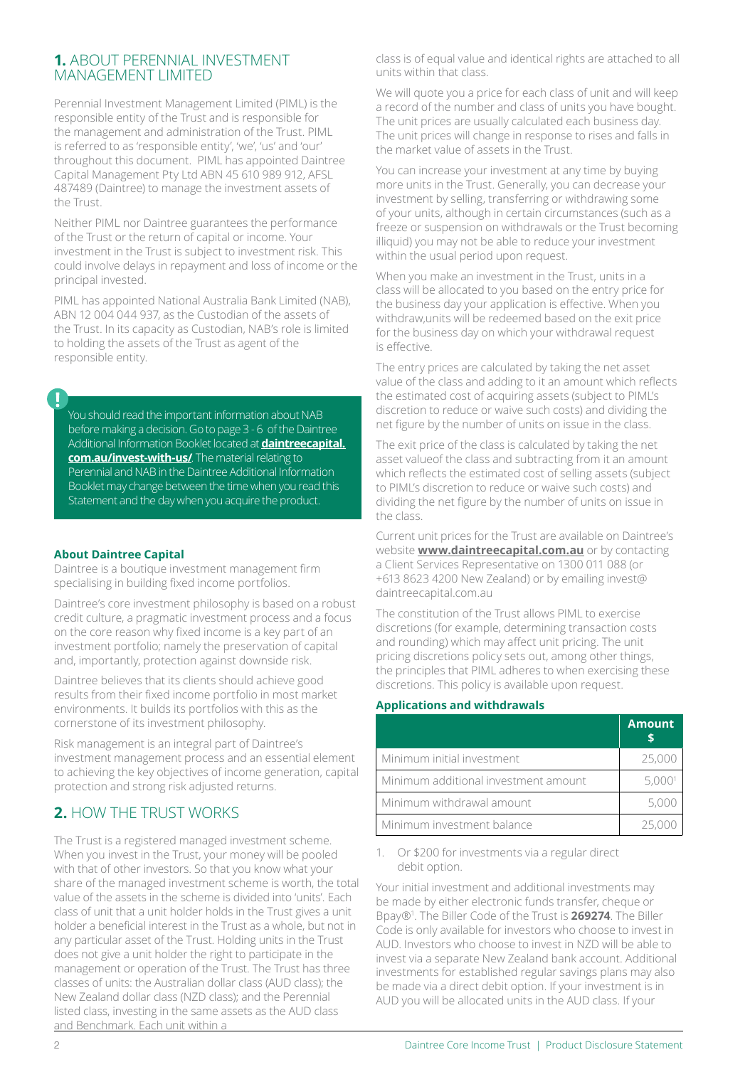# **1.** ABOUT PERENNIAL INVESTMENT MANAGEMENT LIMITED

Perennial Investment Management Limited (PIML) is the responsible entity of the Trust and is responsible for the management and administration of the Trust. PIML is referred to as 'responsible entity', 'we', 'us' and 'our' throughout this document. PIML has appointed Daintree Capital Management Pty Ltd ABN 45 610 989 912, AFSL 487489 (Daintree) to manage the investment assets of the Trust.

Neither PIML nor Daintree guarantees the performance of the Trust or the return of capital or income. Your investment in the Trust is subject to investment risk. This could involve delays in repayment and loss of income or the principal invested.

PIML has appointed National Australia Bank Limited (NAB), ABN 12 004 044 937, as the Custodian of the assets of the Trust. In its capacity as Custodian, NAB's role is limited to holding the assets of the Trust as agent of the responsible entity.

You should read the important information about NAB before making a decision. Go to page 3 - 6 of the Daintree Additional Information Booklet located at **[daintreecapital.](https://daintreecapital.com.au/invest-with-us/) [com.au/invest-with-us/](https://daintreecapital.com.au/invest-with-us/)**. The material relating to Perennial and NAB in the Daintree Additional Information Booklet may change between the time when you read this Statement and the day when you acquire the product.

## **About Daintree Capital**

Daintree is a boutique investment management firm specialising in building fixed income portfolios.

Daintree's core investment philosophy is based on a robust credit culture, a pragmatic investment process and a focus on the core reason why fixed income is a key part of an investment portfolio; namely the preservation of capital and, importantly, protection against downside risk.

Daintree believes that its clients should achieve good results from their fixed income portfolio in most market environments. It builds its portfolios with this as the cornerstone of its investment philosophy.

Risk management is an integral part of Daintree's investment management process and an essential element to achieving the key objectives of income generation, capital protection and strong risk adjusted returns.

# **2.** HOW THE TRUST WORKS

The Trust is a registered managed investment scheme. When you invest in the Trust, your money will be pooled with that of other investors. So that you know what your share of the managed investment scheme is worth, the total value of the assets in the scheme is divided into 'units'. Each class of unit that a unit holder holds in the Trust gives a unit holder a beneficial interest in the Trust as a whole, but not in any particular asset of the Trust. Holding units in the Trust does not give a unit holder the right to participate in the management or operation of the Trust. The Trust has three classes of units: the Australian dollar class (AUD class); the New Zealand dollar class (NZD class); and the Perennial listed class, investing in the same assets as the AUD class and Benchmark. Each unit within a

class is of equal value and identical rights are attached to all units within that class.

We will quote you a price for each class of unit and will keep a record of the number and class of units you have bought. The unit prices are usually calculated each business day. The unit prices will change in response to rises and falls in the market value of assets in the Trust.

You can increase your investment at any time by buying more units in the Trust. Generally, you can decrease your investment by selling, transferring or withdrawing some of your units, although in certain circumstances (such as a freeze or suspension on withdrawals or the Trust becoming illiquid) you may not be able to reduce your investment within the usual period upon request.

When you make an investment in the Trust, units in a class will be allocated to you based on the entry price for the business day your application is effective. When you withdraw,units will be redeemed based on the exit price for the business day on which your withdrawal request is effective.

The entry prices are calculated by taking the net asset value of the class and adding to it an amount which reflects the estimated cost of acquiring assets (subject to PIML's discretion to reduce or waive such costs) and dividing the net figure by the number of units on issue in the class.

The exit price of the class is calculated by taking the net asset valueof the class and subtracting from it an amount which reflects the estimated cost of selling assets (subject to PIML's discretion to reduce or waive such costs) and dividing the net figure by the number of units on issue in the class.

Current unit prices for the Trust are available on Daintree's website **[www.daintreecapital.com.au](http://www.daintreecapital.com.au)** or by contacting a Client Services Representative on 1300 011 088 (or +613 8623 4200 New Zealand) or by emailing invest@ daintreecapital.com.au

The constitution of the Trust allows PIML to exercise discretions (for example, determining transaction costs and rounding) which may affect unit pricing. The unit pricing discretions policy sets out, among other things, the principles that PIML adheres to when exercising these discretions. This policy is available upon request.

#### **Applications and withdrawals**

|                                      | <b>Amount</b> |
|--------------------------------------|---------------|
| Minimum initial investment           | 25,000        |
| Minimum additional investment amount | 5,000         |
| Minimum withdrawal amount            | 5,00          |
| Minimum investment balance           | 25.0          |

1. Or \$200 for investments via a regular direct debit option.

Your initial investment and additional investments may be made by either electronic funds transfer, cheque or Bpay®1 . The Biller Code of the Trust is **269274**. The Biller Code is only available for investors who choose to invest in AUD. Investors who choose to invest in NZD will be able to invest via a separate New Zealand bank account. Additional investments for established regular savings plans may also be made via a direct debit option. If your investment is in AUD you will be allocated units in the AUD class. If your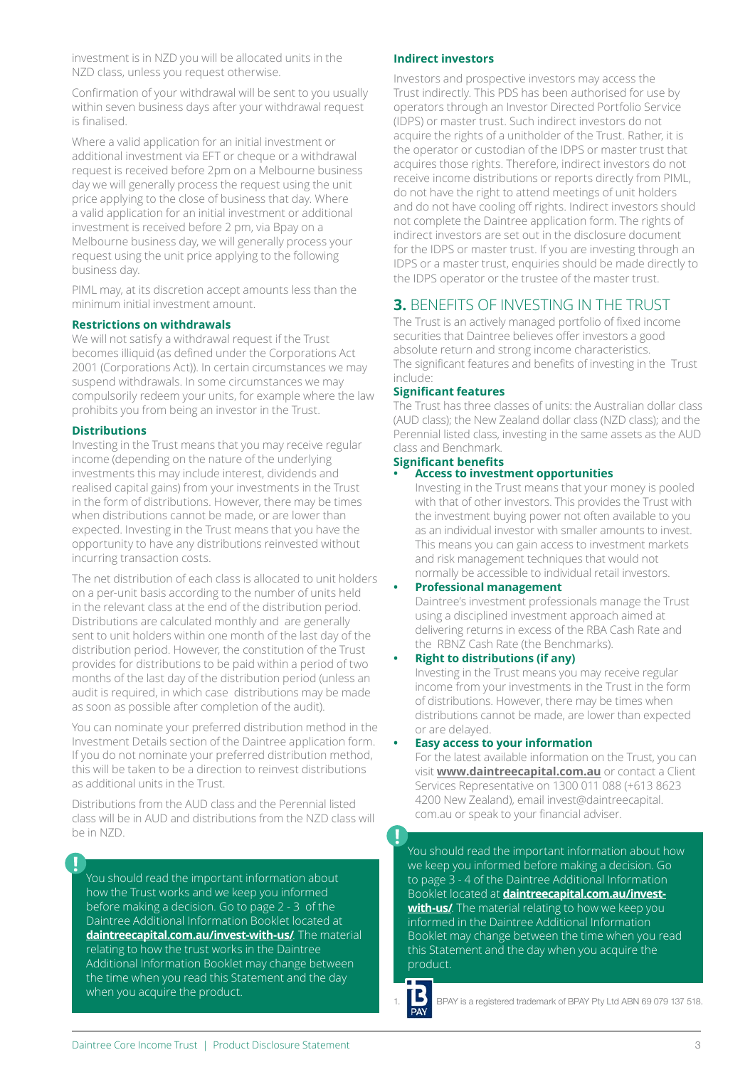investment is in NZD you will be allocated units in the NZD class, unless you request otherwise.

Confirmation of your withdrawal will be sent to you usually within seven business days after your withdrawal request is finalised.

Where a valid application for an initial investment or additional investment via EFT or cheque or a withdrawal request is received before 2pm on a Melbourne business day we will generally process the request using the unit price applying to the close of business that day. Where a valid application for an initial investment or additional investment is received before 2 pm, via Bpay on a Melbourne business day, we will generally process your request using the unit price applying to the following business day.

PIML may, at its discretion accept amounts less than the minimum initial investment amount.

#### **Restrictions on withdrawals**

We will not satisfy a withdrawal request if the Trust becomes illiquid (as defined under the Corporations Act 2001 (Corporations Act)). In certain circumstances we may suspend withdrawals. In some circumstances we may compulsorily redeem your units, for example where the law prohibits you from being an investor in the Trust.

#### **Distributions**

Investing in the Trust means that you may receive regular income (depending on the nature of the underlying investments this may include interest, dividends and realised capital gains) from your investments in the Trust in the form of distributions. However, there may be times when distributions cannot be made, or are lower than expected. Investing in the Trust means that you have the opportunity to have any distributions reinvested without incurring transaction costs.

The net distribution of each class is allocated to unit holders on a per-unit basis according to the number of units held in the relevant class at the end of the distribution period. Distributions are calculated monthly and are generally sent to unit holders within one month of the last day of the distribution period. However, the constitution of the Trust provides for distributions to be paid within a period of two months of the last day of the distribution period (unless an audit is required, in which case distributions may be made as soon as possible after completion of the audit).

You can nominate your preferred distribution method in the Investment Details section of the Daintree application form. If you do not nominate your preferred distribution method, this will be taken to be a direction to reinvest distributions as additional units in the Trust.

Distributions from the AUD class and the Perennial listed class will be in AUD and distributions from the NZD class will be in NZD.

You should read the important information about how the Trust works and we keep you informed before making a decision. Go to page 2 - 3 of the Daintree Additional Information Booklet located at **[daintreecapital.com.au/invest-with-us/](https://daintreecapital.com.au/invest-with-us/)**. The material relating to how the trust works in the Daintree Additional Information Booklet may change between the time when you read this Statement and the day when you acquire the product.

#### **Indirect investors**

Investors and prospective investors may access the Trust indirectly. This PDS has been authorised for use by operators through an Investor Directed Portfolio Service (IDPS) or master trust. Such indirect investors do not acquire the rights of a unitholder of the Trust. Rather, it is the operator or custodian of the IDPS or master trust that acquires those rights. Therefore, indirect investors do not receive income distributions or reports directly from PIML, do not have the right to attend meetings of unit holders and do not have cooling off rights. Indirect investors should not complete the Daintree application form. The rights of indirect investors are set out in the disclosure document for the IDPS or master trust. If you are investing through an IDPS or a master trust, enquiries should be made directly to the IDPS operator or the trustee of the master trust.

# **3.** BENEFITS OF INVESTING IN THE TRUST

The Trust is an actively managed portfolio of fixed income securities that Daintree believes offer investors a good absolute return and strong income characteristics. The significant features and benefits of investing in the Trust include:

#### **Significant features**

The Trust has three classes of units: the Australian dollar class (AUD class); the New Zealand dollar class (NZD class); and the Perennial listed class, investing in the same assets as the AUD class and Benchmark.

#### **Significant benefits**

#### **• Access to investment opportunities**

Investing in the Trust means that your money is pooled with that of other investors. This provides the Trust with the investment buying power not often available to you as an individual investor with smaller amounts to invest. This means you can gain access to investment markets and risk management techniques that would not normally be accessible to individual retail investors.

#### **• Professional management**

Daintree's investment professionals manage the Trust using a disciplined investment approach aimed at delivering returns in excess of the RBA Cash Rate and the RBNZ Cash Rate (the Benchmarks).

#### **• Right to distributions (if any)**

Investing in the Trust means you may receive regular income from your investments in the Trust in the form of distributions. However, there may be times when distributions cannot be made, are lower than expected or are delayed.

#### **• Easy access to your information**

For the latest available information on the Trust, you can visit **[www.daintreecapital.com.au](http://www.daintreecapital.com.au)** or contact a Client Services Representative on 1300 011 088 (+613 8623 4200 New Zealand), email invest@daintreecapital. com.au or speak to your financial adviser.

You should read the important information about how we keep you informed before making a decision. Go to page 3 - 4 of the Daintree Additional Information Booklet located at **[daintreecapital.com.au/invest](https://daintreecapital.com.au/invest-with-us/)[with-us/](https://daintreecapital.com.au/invest-with-us/)**. The material relating to how we keep you informed in the Daintree Additional Information Booklet may change between the time when you read this Statement and the day when you acquire the product.

BPAY is a registered trademark of BPAY Pty Ltd ABN 69 079 137 518.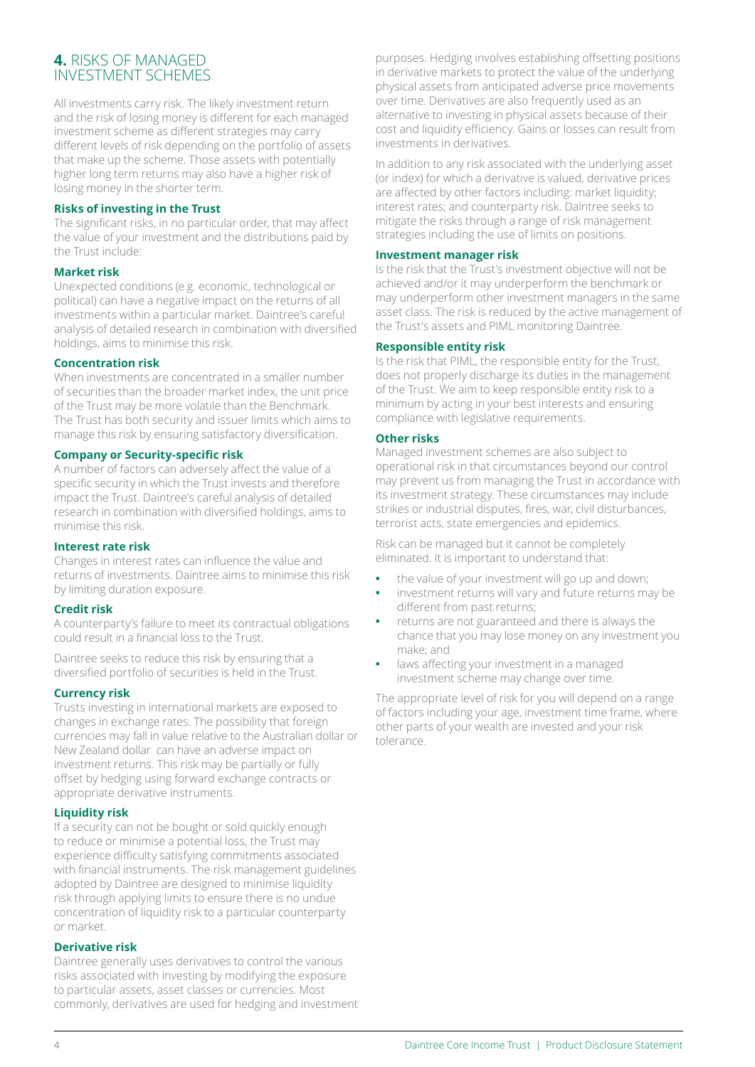# **4.** RISKS OF MANAGED INVESTMENT SCHEMES

All investments carry risk. The likely investment return and the risk of losing money is different for each managed investment scheme as different strategies may carry different levels of risk depending on the portfolio of assets that make up the scheme. Those assets with potentially higher long term returns may also have a higher risk of losing money in the shorter term.

#### **Risks of investing in the Trust**

The significant risks, in no particular order, that may affect the value of your investment and the distributions paid by the Trust include:

### **Market risk**

Unexpected conditions (e.g. economic, technological or political) can have a negative impact on the returns of all investments within a particular market. Daintree's careful analysis of detailed research in combination with diversified holdings, aims to minimise this risk.

### **Concentration risk**

When investments are concentrated in a smaller number of securities than the broader market index, the unit price of the Trust may be more volatile than the Benchmark. The Trust has both security and issuer limits which aims to manage this risk by ensuring satisfactory diversification.

### **Company or Security-specific risk**

A number of factors can adversely affect the value of a specific security in which the Trust invests and therefore impact the Trust. Daintree's careful analysis of detailed research in combination with diversified holdings, aims to minimise this risk.

## **Interest rate risk**

Changes in interest rates can influence the value and returns of investments. Daintree aims to minimise this risk by limiting duration exposure.

## **Credit risk**

A counterparty's failure to meet its contractual obligations could result in a financial loss to the Trust.

Daintree seeks to reduce this risk by ensuring that a diversified portfolio of securities is held in the Trust.

## **Currency risk**

Trusts investing in international markets are exposed to changes in exchange rates. The possibility that foreign currencies may fall in value relative to the Australian dollar or New Zealand dollar can have an adverse impact on investment returns. This risk may be partially or fully offset by hedging using forward exchange contracts or appropriate derivative instruments.

## **Liquidity risk**

If a security can not be bought or sold quickly enough to reduce or minimise a potential loss, the Trust may experience difficulty satisfying commitments associated with financial instruments. The risk management guidelines adopted by Daintree are designed to minimise liquidity risk through applying limits to ensure there is no undue concentration of liquidity risk to a particular counterparty or market.

## **Derivative risk**

Daintree generally uses derivatives to control the various risks associated with investing by modifying the exposure to particular assets, asset classes or currencies. Most commonly, derivatives are used for hedging and investment purposes. Hedging involves establishing offsetting positions in derivative markets to protect the value of the underlying physical assets from anticipated adverse price movements over time. Derivatives are also frequently used as an alternative to investing in physical assets because of their cost and liquidity efficiency. Gains or losses can result from investments in derivatives.

In addition to any risk associated with the underlying asset (or index) for which a derivative is valued, derivative prices are affected by other factors including: market liquidity; interest rates; and counterparty risk. Daintree seeks to mitigate the risks through a range of risk management strategies including the use of limits on positions.

#### **Investment manager risk**

Is the risk that the Trust's investment objective will not be achieved and/or it may underperform the benchmark or may underperform other investment managers in the same asset class. The risk is reduced by the active management of the Trust's assets and PIML monitoring Daintree.

### **Responsible entity risk**

Is the risk that PIML, the responsible entity for the Trust, does not properly discharge its duties in the management of the Trust. We aim to keep responsible entity risk to a minimum by acting in your best interests and ensuring compliance with legislative requirements.

### **Other risks**

Managed investment schemes are also subject to operational risk in that circumstances beyond our control may prevent us from managing the Trust in accordance with its investment strategy. These circumstances may include strikes or industrial disputes, fires, war, civil disturbances, terrorist acts, state emergencies and epidemics.

Risk can be managed but it cannot be completely eliminated. It is important to understand that:

- **•** the value of your investment will go up and down;
- **•** investment returns will vary and future returns may be different from past returns;
- **•** returns are not guaranteed and there is always the chance that you may lose money on any investment you make; and
- **•** laws affecting your investment in a managed investment scheme may change over time.

The appropriate level of risk for you will depend on a range of factors including your age, investment time frame, where other parts of your wealth are invested and your risk tolerance.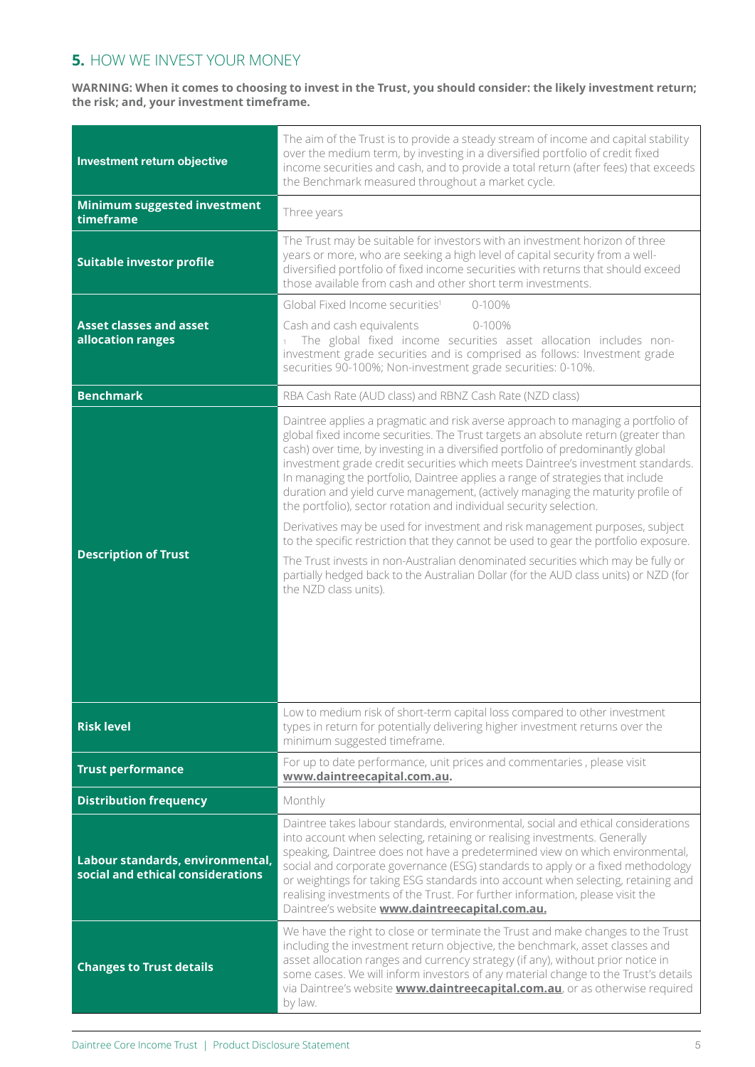# **5.** HOW WE INVEST YOUR MONEY

**WARNING: When it comes to choosing to invest in the Trust, you should consider: the likely investment return; the risk; and, your investment timeframe.**

| Investment return objective                                           | The aim of the Trust is to provide a steady stream of income and capital stability<br>over the medium term, by investing in a diversified portfolio of credit fixed<br>income securities and cash, and to provide a total return (after fees) that exceeds<br>the Benchmark measured throughout a market cycle.                                                                                                                                                                                                                                                                                                                                                                                                                                                                                                                                                                                                                                                       |
|-----------------------------------------------------------------------|-----------------------------------------------------------------------------------------------------------------------------------------------------------------------------------------------------------------------------------------------------------------------------------------------------------------------------------------------------------------------------------------------------------------------------------------------------------------------------------------------------------------------------------------------------------------------------------------------------------------------------------------------------------------------------------------------------------------------------------------------------------------------------------------------------------------------------------------------------------------------------------------------------------------------------------------------------------------------|
| Minimum suggested investment<br>timeframe                             | Three years                                                                                                                                                                                                                                                                                                                                                                                                                                                                                                                                                                                                                                                                                                                                                                                                                                                                                                                                                           |
| <b>Suitable investor profile</b>                                      | The Trust may be suitable for investors with an investment horizon of three<br>years or more, who are seeking a high level of capital security from a well-<br>diversified portfolio of fixed income securities with returns that should exceed<br>those available from cash and other short term investments.                                                                                                                                                                                                                                                                                                                                                                                                                                                                                                                                                                                                                                                        |
|                                                                       | Global Fixed Income securities <sup>1</sup><br>$0 - 100%$                                                                                                                                                                                                                                                                                                                                                                                                                                                                                                                                                                                                                                                                                                                                                                                                                                                                                                             |
| <b>Asset classes and asset</b><br>allocation ranges                   | Cash and cash equivalents<br>0-100%<br>The global fixed income securities asset allocation includes non-<br>investment grade securities and is comprised as follows: Investment grade<br>securities 90-100%; Non-investment grade securities: 0-10%.                                                                                                                                                                                                                                                                                                                                                                                                                                                                                                                                                                                                                                                                                                                  |
| <b>Benchmark</b>                                                      | RBA Cash Rate (AUD class) and RBNZ Cash Rate (NZD class)                                                                                                                                                                                                                                                                                                                                                                                                                                                                                                                                                                                                                                                                                                                                                                                                                                                                                                              |
| <b>Description of Trust</b>                                           | Daintree applies a pragmatic and risk averse approach to managing a portfolio of<br>global fixed income securities. The Trust targets an absolute return (greater than<br>cash) over time, by investing in a diversified portfolio of predominantly global<br>investment grade credit securities which meets Daintree's investment standards.<br>In managing the portfolio, Daintree applies a range of strategies that include<br>duration and yield curve management, (actively managing the maturity profile of<br>the portfolio), sector rotation and individual security selection.<br>Derivatives may be used for investment and risk management purposes, subject<br>to the specific restriction that they cannot be used to gear the portfolio exposure.<br>The Trust invests in non-Australian denominated securities which may be fully or<br>partially hedged back to the Australian Dollar (for the AUD class units) or NZD (for<br>the NZD class units). |
| <b>Risk level</b>                                                     | Low to medium risk of short-term capital loss compared to other investment<br>types in return for potentially delivering higher investment returns over the<br>minimum suggested timeframe.                                                                                                                                                                                                                                                                                                                                                                                                                                                                                                                                                                                                                                                                                                                                                                           |
| <b>Trust performance</b>                                              | For up to date performance, unit prices and commentaries, please visit<br>www.daintreecapital.com.au.                                                                                                                                                                                                                                                                                                                                                                                                                                                                                                                                                                                                                                                                                                                                                                                                                                                                 |
| <b>Distribution frequency</b>                                         | Monthly                                                                                                                                                                                                                                                                                                                                                                                                                                                                                                                                                                                                                                                                                                                                                                                                                                                                                                                                                               |
| Labour standards, environmental,<br>social and ethical considerations | Daintree takes labour standards, environmental, social and ethical considerations<br>into account when selecting, retaining or realising investments. Generally<br>speaking, Daintree does not have a predetermined view on which environmental,<br>social and corporate governance (ESG) standards to apply or a fixed methodology<br>or weightings for taking ESG standards into account when selecting, retaining and<br>realising investments of the Trust. For further information, please visit the<br>Daintree's website www.daintreecapital.com.au.                                                                                                                                                                                                                                                                                                                                                                                                           |
| <b>Changes to Trust details</b>                                       | We have the right to close or terminate the Trust and make changes to the Trust<br>including the investment return objective, the benchmark, asset classes and<br>asset allocation ranges and currency strategy (if any), without prior notice in<br>some cases. We will inform investors of any material change to the Trust's details<br>via Daintree's website <b>www.daintreecapital.com.au</b> , or as otherwise required<br>by law.                                                                                                                                                                                                                                                                                                                                                                                                                                                                                                                             |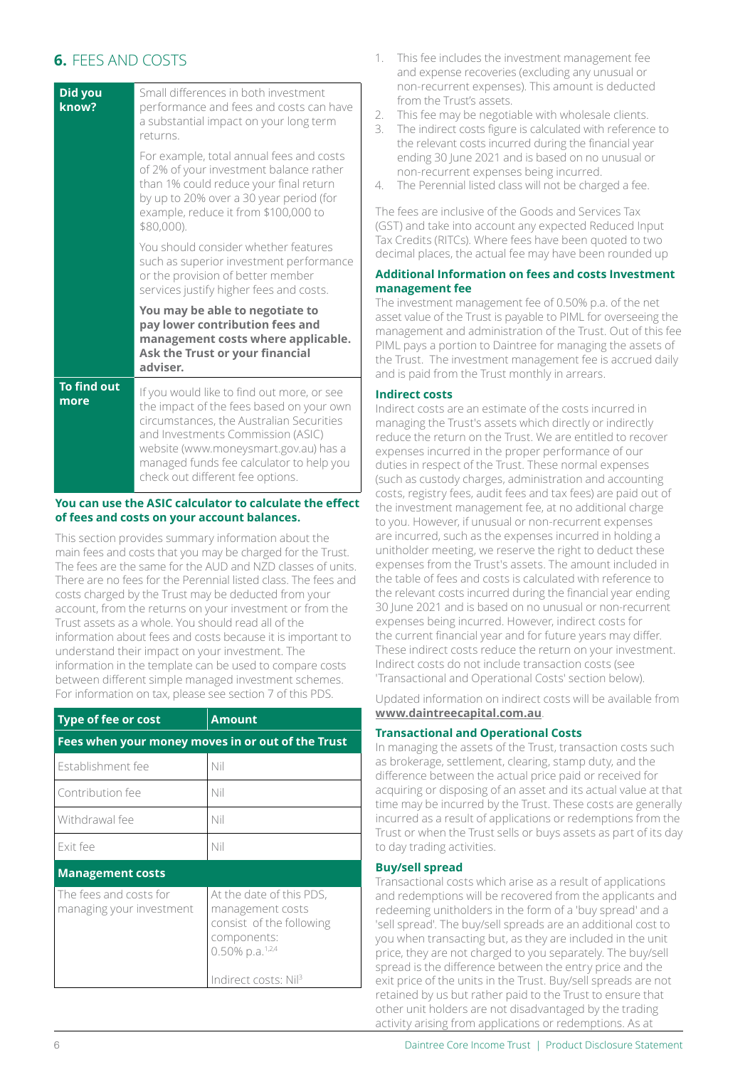# **6.** FEES AND COSTS

| Did you<br>know?           | Small differences in both investment<br>performance and fees and costs can have<br>a substantial impact on your long term<br>returns.                                                                                                                                                            |
|----------------------------|--------------------------------------------------------------------------------------------------------------------------------------------------------------------------------------------------------------------------------------------------------------------------------------------------|
|                            | For example, total annual fees and costs<br>of 2% of your investment balance rather<br>than 1% could reduce your final return<br>by up to 20% over a 30 year period (for<br>example, reduce it from \$100,000 to<br>\$80,000).                                                                   |
|                            | You should consider whether features<br>such as superior investment performance<br>or the provision of better member<br>services justify higher fees and costs.                                                                                                                                  |
|                            | You may be able to negotiate to<br>pay lower contribution fees and<br>management costs where applicable.<br>Ask the Trust or your financial<br>adviser.                                                                                                                                          |
| <b>To find out</b><br>more | If you would like to find out more, or see<br>the impact of the fees based on your own<br>circumstances, the Australian Securities<br>and Investments Commission (ASIC)<br>website (www.moneysmart.gov.au) has a<br>managed funds fee calculator to help you<br>check out different fee options. |

### **You can use the ASIC calculator to calculate the effect of fees and costs on your account balances.**

This section provides summary information about the main fees and costs that you may be charged for the Trust. The fees are the same for the AUD and NZD classes of units. There are no fees for the Perennial listed class. The fees and costs charged by the Trust may be deducted from your account, from the returns on your investment or from the Trust assets as a whole. You should read all of the information about fees and costs because it is important to understand their impact on your investment. The information in the template can be used to compare costs between different simple managed investment schemes. For information on tax, please see section 7 of this PDS.

| <b>Type of fee or cost</b>                         | <b>Amount</b>                                                                                                                                                 |
|----------------------------------------------------|---------------------------------------------------------------------------------------------------------------------------------------------------------------|
| Fees when your money moves in or out of the Trust  |                                                                                                                                                               |
| Establishment fee                                  | Nil                                                                                                                                                           |
| Contribution fee                                   | Nil                                                                                                                                                           |
| Withdrawal fee                                     | Nil                                                                                                                                                           |
| Exit fee                                           | Nil                                                                                                                                                           |
| <b>Management costs</b>                            |                                                                                                                                                               |
| The fees and costs for<br>managing your investment | At the date of this PDS,<br>management costs<br>consist of the following<br>components:<br>$0.50\%$ p.a. <sup>1,2,4</sup><br>Indirect costs: Nil <sup>3</sup> |

- 1. This fee includes the investment management fee and expense recoveries (excluding any unusual or non-recurrent expenses). This amount is deducted from the Trust's assets.
- 2. This fee may be negotiable with wholesale clients.
- 3. The indirect costs figure is calculated with reference to the relevant costs incurred during the financial year ending 30 June 2021 and is based on no unusual or non-recurrent expenses being incurred.
- 4. The Perennial listed class will not be charged a fee.

The fees are inclusive of the Goods and Services Tax (GST) and take into account any expected Reduced Input Tax Credits (RITCs). Where fees have been quoted to two decimal places, the actual fee may have been rounded up

### **Additional Information on fees and costs Investment management fee**

The investment management fee of 0.50% p.a. of the net asset value of the Trust is payable to PIML for overseeing the management and administration of the Trust. Out of this fee PIML pays a portion to Daintree for managing the assets of the Trust. The investment management fee is accrued daily and is paid from the Trust monthly in arrears.

## **Indirect costs**

Indirect costs are an estimate of the costs incurred in managing the Trust's assets which directly or indirectly reduce the return on the Trust. We are entitled to recover expenses incurred in the proper performance of our duties in respect of the Trust. These normal expenses (such as custody charges, administration and accounting costs, registry fees, audit fees and tax fees) are paid out of the investment management fee, at no additional charge to you. However, if unusual or non-recurrent expenses are incurred, such as the expenses incurred in holding a unitholder meeting, we reserve the right to deduct these expenses from the Trust's assets. The amount included in the table of fees and costs is calculated with reference to the relevant costs incurred during the financial year ending 30 June 2021 and is based on no unusual or non-recurrent expenses being incurred. However, indirect costs for the current financial year and for future years may differ. These indirect costs reduce the return on your investment. Indirect costs do not include transaction costs (see 'Transactional and Operational Costs' section below).

[Updated information on indirect](http://www.daintreecapital.com.au) costs will be available from **www.daintreecapital.com.au**.

## **Transactional and Operational Costs**

In managing the assets of the Trust, transaction costs such as brokerage, settlement, clearing, stamp duty, and the difference between the actual price paid or received for acquiring or disposing of an asset and its actual value at that time may be incurred by the Trust. These costs are generally incurred as a result of applications or redemptions from the Trust or when the Trust sells or buys assets as part of its day to day trading activities.

## **Buy/sell spread**

Transactional costs which arise as a result of applications and redemptions will be recovered from the applicants and redeeming unitholders in the form of a 'buy spread' and a 'sell spread'. The buy/sell spreads are an additional cost to you when transacting but, as they are included in the unit price, they are not charged to you separately. The buy/sell spread is the difference between the entry price and the exit price of the units in the Trust. Buy/sell spreads are not retained by us but rather paid to the Trust to ensure that other unit holders are not disadvantaged by the trading activity arising from applications or redemptions. As at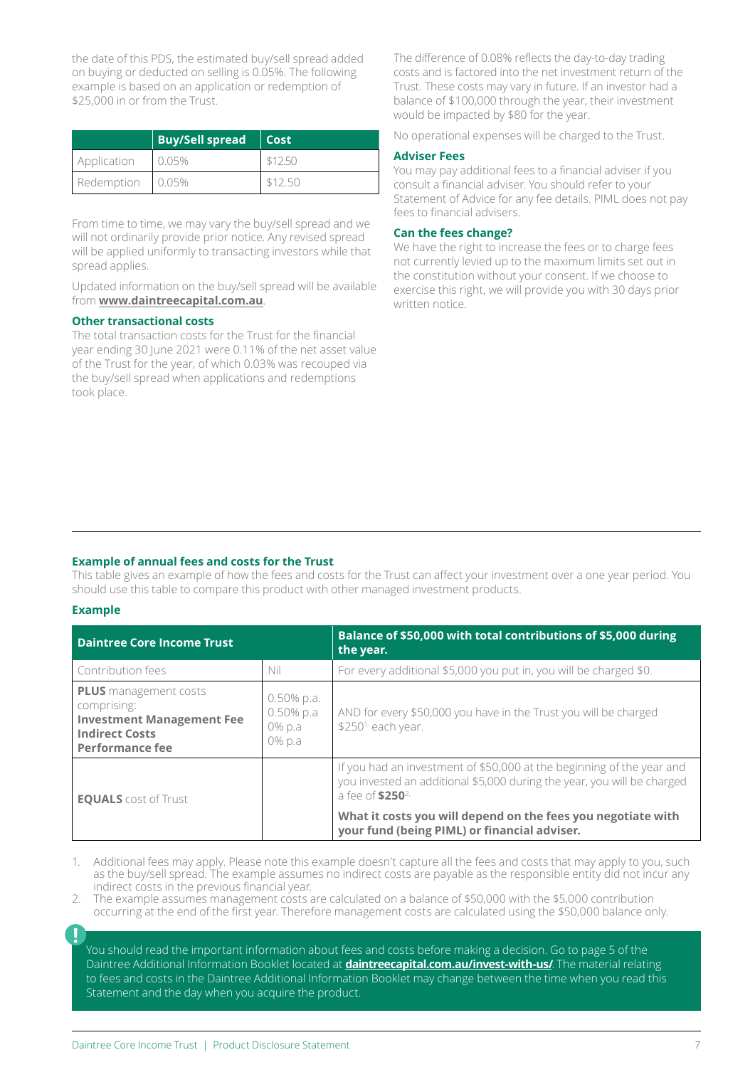the date of this PDS, the estimated buy/sell spread added on buying or deducted on selling is 0.05%. The following example is based on an application or redemption of \$25,000 in or from the Trust.

|             | <b>Buy/Sell spread   Cost</b> |         |
|-------------|-------------------------------|---------|
| Application | 0.05%                         | \$12.50 |
| Redemption  | 0.05%                         | \$12.50 |

From time to time, we may vary the buy/sell spread and we will not ordinarily provide prior notice. Any revised spread will be applied uniformly to transacting investors while that spread applies.

Updated information on the buy/sell spread will be available from **[www.daintreecapital.com.au](http://www.daintreecapital.com.au)**.

#### **Other transactional costs**

The total transaction costs for the Trust for the financial year ending 30 June 2021 were 0.11% of the net asset value of the Trust for the year, of which 0.03% was recouped via the buy/sell spread when applications and redemptions took place.

The difference of 0.08% reflects the day-to-day trading costs and is factored into the net investment return of the Trust. These costs may vary in future. If an investor had a balance of \$100,000 through the year, their investment would be impacted by \$80 for the year.

No operational expenses will be charged to the Trust.

#### **Adviser Fees**

You may pay additional fees to a financial adviser if you consult a financial adviser. You should refer to your Statement of Advice for any fee details. PIML does not pay fees to financial advisers.

#### **Can the fees change?**

We have the right to increase the fees or to charge fees not currently levied up to the maximum limits set out in the constitution without your consent. If we choose to exercise this right, we will provide you with 30 days prior written notice.

#### **Example of annual fees and costs for the Trust**

This table gives an example of how the fees and costs for the Trust can affect your investment over a one year period. You should use this table to compare this product with other managed investment products.

#### **Example**

| <b>Daintree Core Income Trust</b>                                                                                           |                                                   | Balance of \$50,000 with total contributions of \$5,000 during<br>the year.                                                                                                      |
|-----------------------------------------------------------------------------------------------------------------------------|---------------------------------------------------|----------------------------------------------------------------------------------------------------------------------------------------------------------------------------------|
| Contribution fees                                                                                                           | Nil                                               | For every additional \$5,000 you put in, you will be charged \$0.                                                                                                                |
| <b>PLUS</b> management costs<br>comprising:<br><b>Investment Management Fee</b><br><b>Indirect Costs</b><br>Performance fee | $0.50\%$ p.a.<br>$0.50\%$ p.a<br>0% p.a<br>0% p.a | AND for every \$50,000 you have in the Trust you will be charged<br>\$250 <sup>1,</sup> each year.                                                                               |
| <b>EQUALS</b> cost of Trust                                                                                                 |                                                   | If you had an investment of \$50,000 at the beginning of the year and<br>you invested an additional \$5,000 during the year, you will be charged<br>a fee of \$250 <sup>2,</sup> |
|                                                                                                                             |                                                   | What it costs you will depend on the fees you negotiate with<br>your fund (being PIML) or financial adviser.                                                                     |

1. Additional fees may apply. Please note this example doesn't capture all the fees and costs that may apply to you, such as the buy/sell spread. The example assumes no indirect costs are payable as the responsible entity did not incur any indirect costs in the previous financial year.

- 2. The example assumes management costs are calculated on a balance of \$50,000 with the \$5,000 contribution occurring at the end of the first year. Therefore management costs are calculated using the \$50,000 balance only.
- 

You should read the important information about fees and costs before making a decision. Go to page 5 of the Daintree Additional Information Booklet located at **[daintreecapital.com.au/invest-with-us/](https://daintreecapital.com.au/invest-with-us/)**. The material relating to fees and costs in the Daintree Additional Information Booklet may change between the time when you read this Statement and the day when you acquire the product.